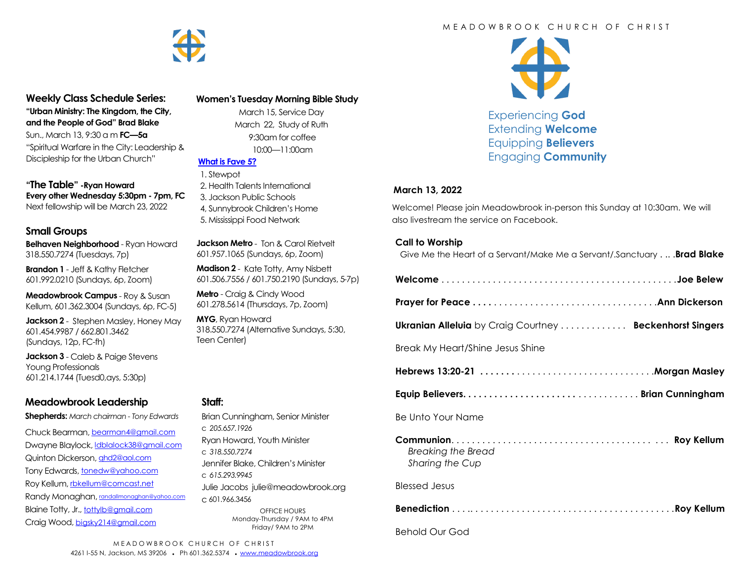

# **Weekly Class Schedule Series:**

**"Urban Ministry: The Kingdom, the City, and the People of God" Brad Blake** Sun., March 13, 9:30 a m **FC—5a** "Spiritual Warfare in the City: Leadership & Discipleship for the Urban Church"

**"The Table" -Ryan Howard Every other Wednesday 5:30pm - 7pm, FC** Next fellowship will be March 23, 2022

### **Small Groups**

**Belhaven Neighborhood** - Ryan Howard 318.550.7274 (Tuesdays, 7p)

**Brandon 1** - Jeff & Kathy Fletcher 601.992.0210 (Sundays, 6p, Zoom)

**Meadowbrook Campus** - Roy & Susan Kellum, 601.362.3004 (Sundays, 6p, FC-5)

**Jackson 2** - Stephen Masley, Honey May 601.454.9987 / 662.801.3462 (Sundays, 12p, FC-fh)

**Jackson 3** - Caleb & Paige Stevens Young Professionals 601.214.1744 (Tuesd0,ays, 5:30p)

# **Meadowbrook Leadership**

**Shepherds:** *March chairman - Tony Edwards*

Chuck Bearman, [bearman4@gmail.com](mailto:bearman4@gmail.com) Dwayne Blaylock, *dblalock38@gmail.com* Quinton Dickerson, [qhd2@aol.com](mailto:qhd2@aol.com) Tony Edwards, [tonedw@yahoo.com](mailto:tonedw@yahoo.com) Roy Kellum, [rbkellum@comcast.net](mailto:rbkellum@comcast.net) Randy Monaghan, [randallmonaghan@yahoo.com](mailto:randallmonaghan@yahoo.com) Blaine Totty, Jr., [tottylb@gmail.com](mailto:tottylb@gmail.com) Craig Wood, [bigsky214@gmail.com](mailto:bigsky214@gmail.com)

### **Women's Tuesday Morning Bible Study**

 March 15, Service Day March 22, Study of Ruth 9:30am for coffee 10:00—11:00am

#### **[What is Fave 5?](https://meadowbrook.ccbchurch.com/group_detail.php?group_id=131)**

 1. Stewpot 2. Health Talents International 3. Jackson Public Schools 4, Sunnybrook Children's Home 5. Mississippi Food Network

**Jackson Metro** - Ton & Carol Rietvelt 601.957.1065 (Sundays, 6p, Zoom)

**Madison 2** - Kate Totty, Amy Nisbett 601.506.7556 / 601.750.2190 (Sundays, 5-7p)

**Metro** - Craig & Cindy Wood 601.278.5614 (Thursdays, 7p, Zoom)

**MYG**, Ryan Howard 318.550.7274 (Alternative Sundays, 5:30, Teen Center)

#### **Staff:**

Brian Cunningham, Senior Minister c *205.657.1926* Ryan Howard, Youth Minister c *318.550.7274* Jennifer Blake, Children's Minister c *615.293.9945* Julie Jacobs julie@meadowbrook.org c 601.966.3456 OFFICE HOURS Monday-Thursday / 9AM to 4PM Friday/ 9AM to 2PM

### M F A D O W B R O O K C H U R C H O F C H R I S T



Experiencing **God** Extending **Welcome** Equipping **Believers** Engaging **Community**

### **March 13, 2022**

Welcome! Please join Meadowbrook in-person this Sunday at 10:30am. We will also livestream the service on Facebook.

#### **Call to Worship**

Give Me the Heart of a Servant/Make Me a Servant/.Sanctuary . .. .**Brad Blake**

|--|--|

**Ukranian Alleluia** by Craig Courtney . . . . . . . . . . . . . **Beckenhorst Singers**

Break My Heart/Shine Jesus Shine

|--|--|

**Equip Believers. . . . . . . . . . . . . . . . . . . . . .** . . . . . . . . . . . . **Brian Cunningham**

Be Unto Your Name

**Communion**. . . . . . . . . . . . . . . . . . . . . . . . . . . . . . . . . . . . . . . . . . **Roy Kellum**   *Breaking the Bread Sharing the Cup*

Blessed Jesus

**Benediction** . . . .. . . . . . . . . . . . . . . . . . . . . . . . . . . . . . . . . . . . . . . .**Roy Kellum**

Behold Our God